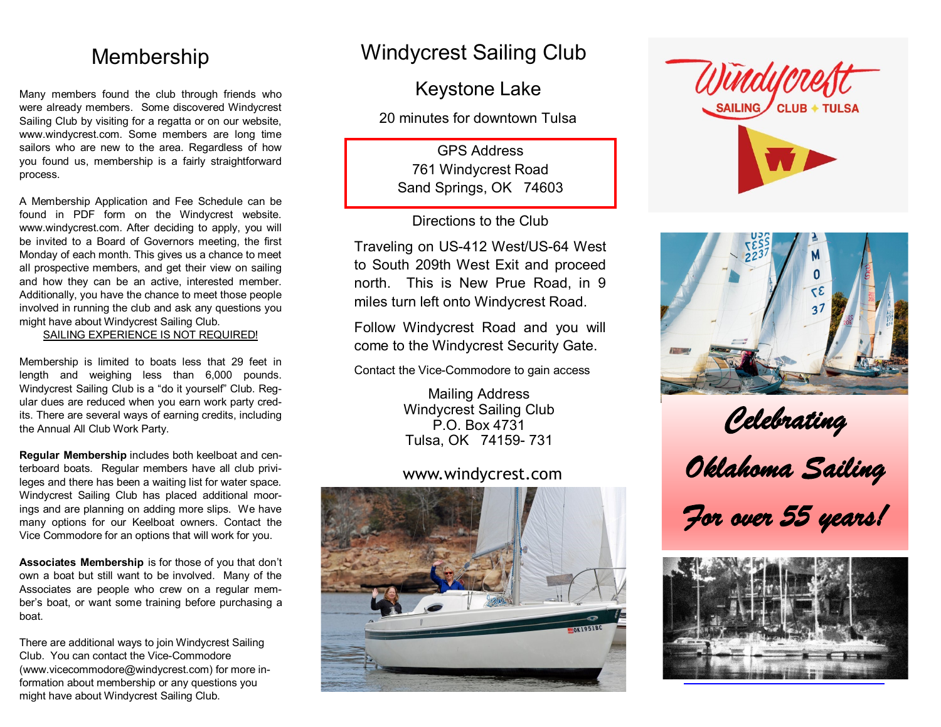### Membership

Many members found the club through friends who were already members. Some discovered Windycrest Sailing Club by visiting for a regatta or on our website, www.windycrest.com. Some members are long time sailors who are new to the area. Regardless of how you found us, membership is a fairly straightforward process.

A Membership Application and Fee Schedule can be found in PDF form on the Windycrest website. www.windycrest.com. After deciding to apply, you will be invited to a Board of Governors meeting, the first Monday of each month. This gives us a chance to meet all prospective members, and get their view on sailing and how they can be an active, interested member. Additionally, you have the chance to meet those people involved in running the club and ask any questions you might have about Windycrest Sailing Club.

SAILING EXPERIENCE IS NOT REQUIRED!

Membership is limited to boats less that 29 feet in length and weighing less than 6,000 pounds. Windycrest Sailing Club is a "do it yourself" Club. Regular dues are reduced when you earn work party credits. There are several ways of earning credits, including the Annual All Club Work Party.

**Regular Membership** includes both keelboat and centerboard boats. Regular members have all club privileges and there has been a waiting list for water space. Windycrest Sailing Club has placed additional moorings and are planning on adding more slips. We have many options for our Keelboat owners. Contact the Vice Commodore for an options that will work for you.

**Associates Membership** is for those of you that don't own a boat but still want to be involved. Many of the Associates are people who crew on a regular member's boat, or want some training before purchasing a boat.

There are additional ways to join Windycrest Sailing Club. You can contact the Vice-Commodore (www.vicecommodore@windycrest.com) for more information about membership or any questions you might have about Windycrest Sailing Club.

## Windycrest Sailing Club

Keystone Lake

20 minutes for downtown Tulsa

GPS Address 761 Windycrest Road Sand Springs, OK 74603

Directions to the Club

Traveling on US-412 West/US-64 West to South 209th West Exit and proceed north. This is New Prue Road, in 9 miles turn left onto Windycrest Road.

Follow Windycrest Road and you will come to the Windycrest Security Gate.

Contact the Vice-Commodore to gain access

Mailing Address Windycrest Sailing Club P.O. Box 4731 Tulsa, OK 74159- 731

### www.windycrest.com







*Celebrating Oklahoma Sailing For over 55 years!*